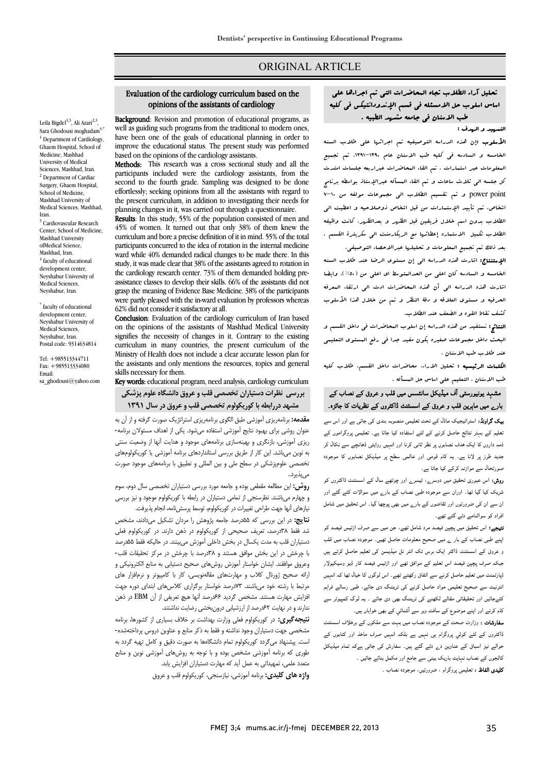# ORIGINAL ARTICLE

#### Evaluation of the cardiology curriculum based on the opinions of the assistants of cardiology

Ī  $\overline{a}$ 

Leila Bigdel<sup>1,3</sup>, Ali Azari<sup>2,3</sup>. Sara Ghodousi moghadam $4,$ \*  $<sup>1</sup>$  Department of Cardiology,</sup> Ghaem Hospital, School of Medicine, Mashhad University of Medical Sciences, Mashhad, Iran. <sup>2</sup> Department of Cardiac Surgery, Ghaem Hospital, School of Medicine, Mashhad University of Medical Sciences, Mashhad, Iran. <sup>3</sup> Cardiovascular Research Center, School of Medicine, Mashhad University ofMedical Science, Mashhad, Iran.  $4$  faculty of educational development center Neyshabur University of Medical Sciences. Neyshabur, Iran.

\* faculty of educational development center, Neyshabur University of Medical Sciences, Neyshabur, Iran. Postal code: 9314634814

Tel: +985513344711 Fax: +985513334080 Email: sa\_ghodousi@yahoo.com

Background: Revision and promotion of educational programs, as **EXERCITE:** REVISION and promotion of educational programs, as<br>well as guiding such programs from the traditional to modern ones, have been one of the goals of educational planning in order to miprove the educational status. The present states based on the opinions of the cardiology assistants. improve the educational status. The present study was performed

 Methods: This research was a cross sectional study and all the paracipants included were the cardiology assistants, from the<br>second to the fourth grade. Sampling was designed to be done effortlessly; seeking opinions from all the assistants with regard to planning changes in it, was carried out through a questionnaire. participants included were the cardiology assistants, from the the present curriculum, in addition to investigating their needs for

Results: In this study, 55% of the population consisted of men and curriculum and bore a precise definition of it in mind. 55% of the total participants concurred to the idea of rotation in the internal medicine ward while 40% demanded radical changes to be made there. In this study it was made elect that  $39\%$  of the assistants agreed to rotation in the cardiology research center. 73% of them demanded holding preassistance classes to develop their skills. 66% of the assistants did not were partly pleased with the in-ward evaluation by professors whereas 45% of women. It turned out that only 38% of them knew the study, it was made clear that 38% of the assistants agreed to rotation in grasp the meaning of Evidence Base Medicine. 38% of the participants 62% did not consider it satisfactory at all.

62% did not consider it satisfactory at all.<br>**Conclusion**: Evaluation of the cardiology curriculum of Iran based on the opinions of the assistants of Mashhad Medical University signifies the necessity of changes in it. Contrary to the existing Ministry of Health does not include a clear accurate lesson plan for the assistants and only mentions the resources, topics and general curriculum in many countries, the present curriculum of the skills necessary for them.

**Key words:** educational program, need analysis, cardiology curriculum **بررسی نظرات دستیاران تخصصی قلب و عروق دانشگاه علوم پزشکی مشهد دررابطه با کوریکولوم تخصصی قلب و عروق در سال 1391** 

 **مقدمه:** برنامهریزي آموزشی طبق الگوي برنامهریزي استراتژیک صورت گرفته و از آن به عنوان روشی براي بهبود نتایج آموزشی استفاده میشود. یکی از اهداف مسئولان برنامه- ریزي آموزشی، بازنگري و بهینهسازي برنامههاي موجود و هدایت آنها از وضعیت سنتی تخصصی علومپزشکی در سطح ملی و بین المللی و تطبیق با برنامههاي موجود صورت به نوین میباشد. این کار از طریق بررسی استانداردهاي برنامه آموزشی یا کوریکولومهاي

 **روش:** این مطالعه مقطعی بوده و جامعه مورد بررسی دستیاران تخصصی سال دوم، سوم و چهارم میباشند. نظرسنجی از تمامی دستیاران در رابطه با کوریکولوم موجود و نیز بررسی میپذیرد..

نیازهای آنها جهت طراحی تغییرات در کوریکولوم، توسط پرسشنامه، انجام پذیرفت.<br>. سیج، در این بررسی به سدرصد جاهد پروسس را مردان بستین می داند. مسخص<br>شد فقط ۵۳درصد، تعریف صحیحی از کوریکولوم در ذهن دارند. در کوریکولوم فعلی دستیاران قلب به مدت یکسال در بخش داخلی آموزش میبینند. در حالیکه فقط 55درصد با چرخش در این بخش موافق هستند و 38درصد با چرخش در مرکز تحقیقات قلب- وعروق موافقند. ایشان خواستار آموزش روشهاي صحیح دستیابی به منابع الکترونیکی و ارائه صحیح ژورنال کلاب و مهارتهاي مقالهنویسی، کار با کامپیوتر و نرمافزار هاي مربت با رسته حود می بستند ۲۰۰ رست خواستنز برخزاری مادس می استانی خورد چهت<br>فزایش مهارت هستند. مشخص گردید ۶۶درصد آنها هیچ تعریفی از آن EBM در ذهن ندارند و در نهایت 62درصد از ارزشیابی درونبخشی رضایت نداشتند. **نتایج:** در این بررسی که 55درصد جامعه پژوهش را مردان تشکیل میدادند، مشخص مرتبط با رشته خود میباشند. 73درصد خواستار برگزاري کلاسهاي ابتداي دوره جهت

 **نتیجهگیري:** در کوریکولوم فعلی وزارت بهداشت بر خلاف بسیاري از کشورها، برنامه مشخصی جهت دستیاران وجود نداشته و فقط به ذکر منابع و عناوین دروس پرداختهشده- سب. پیسپهاد می تردد نوریخونوم نمام دانسخامها به صورت دقیق و نامل نهیه دردد به<br>طوری که برنامه آموزشی مشخص بوده و با توجه به روشهای آموزشی نوین و منابع متوری - برده مستورسی مستقلس بود و به توجه به روس دی .<br>متعدد علمی، تمهیداتی به عمل آید که مهارت دستیاران افزایش یابد. است. پیشنهاد میگردد کوریکولوم تمام دانشگاهها به صورت دقیق و کامل تهیه گردد به

**واژه هاي کلیدي:** برنامه آموزشی، نیازسنجی، کوریکولوم قلب و عروق

 تحلیل آراء الطلاب تجاه المحاضرات التی تم اجراءها علی اساس اسلوب حل الامسئله فی قسم الإندودانتیکس فی کلیه ب من سنة سنة من جامعة مشهوم.<br>طب الاسنان فی جامعه مشهد الطبیه .

Ī  $\overline{a}$ 

 الأسلوب :إن هذه الدراسه التوصیفیه تم اجرائها علی طلاب السنه الخامسه و السادسه فی کلیه طب الاسنان عام .1391-1390 تم تجمیع المعلومات عبر استمارات . تم القاء المحاضرات عبراربعه جلسات امتدت کل جلسه الی ثلاث ساعات و تم القاء المسأله عبرالإستاذ بواسطه برنامج س<br>γower point و تم تقسیم الطلاب الی مجموعات مولفه من V−۱۰ اشخاص. تم تأیید الإستمارات من قبل اشخاص ذوصلاحیه و اعطیت الی الطلاب بدون اسم خلال فریقین قبل الظهر و بعدالظهر. کانت وظیفه الطلاب تکمیل الاستماره إعطائها مع الریکارمنت الی سکریترة القسم . بعد ذلک تم تجمیع المعلومات و تحلیلها عبرالاحصاء التوصیفی.

 الإستنتاج: اشارت هذه الدراسه الی إن مستوي الرضا عند طلاب السنه الخامسه و السادسه کان اعلی من الحدالمتوسط اي اعلی من (%50). وایضا اشارت هذه الدراسه الی أن هذه المحاضرات ادت الی ارتقاء المعرفه الحرفیه و مستوي العلاقه و دقۀ النظر و تم من خلال هذا الأسلوب کشف نقاط القوه و الضعف عند الطلاب.

 النتائج: نستفید من هذه الدراسه إن اسلوب المحاضرات فی داخل القسم و البحث داخل مجموعات صغیره یکون مفید جدا فی رفع المستوي التعلیمی عند طلاب طب الاسنان .

 الکلمات الرئیسیه : تحلیل الاراء، محاضرات داخل القسم، طلاب کلیه طب الاسنان ، التعلیم علی اساس حل المسأله .

# مشہد یونیورسٹی آف میڈیکل سانئسس میں قلب و عروق کے نصاب کے بارے میں ماہرین قلب و عروق کے اسسٹنٹ ڈاکٹروں کے نظریات کا جائزہ۔

**یک گراونڈ:** اسٹراٹیجیک ماڈل کے تحت تعلیمی منصوبہ بندی کی جاتی ہے اور اس سے نعلیم کے بہتر نتائج حاصل کرنے کے لئے استفادہ کیا جاتا ہے۔ تعلیمی پروگراموں کے ذمہ داروں کا ایک ہدف نصابوں پر نظر ثانی کرنا اور انہیں روایتی ڈھانچے سے نکال کر بدید طرز پر لانا ہے۔ یہ کام قومی اور عالمی سطح پر میڈیکل نصابوں کا موجودہ<br>۔ صورتحال سے موازنہ کرکے کیا جاتا ہے۔<br>۔

**روش:** اس عبوری تحقیق میں دوسرے، تیسرے اور چوتھے سال کے اسسٹنٹ ڈاکٹروں کو<br>۔ یہ کے کیا گیا جاتا ہے ں کے اس سے سے سب کرتا ہے کہ دوسرے ہیں کہ سب سے اس کے لیے کرتے ہیں کہ اس کے دوسرے کے لیے میں شامل کے دوسرے کے د<br>ان سے ان کی ضرورتوں اور تقاضوں کے بارے میں بھی پوچھا گیا۔ اس تحقیق میں شامل فراد کو سوالنامے دئے گئے تھے۔ شریک کیا گیا تھا۔ اوران سے موجودہ طبی نصاب کے بارے میں سوالات کئے گئے اور

۔<br>**تیجے؛** اس تحقیق میں پچپن فیصد مرد شامل تھے، جن میں سے صرف اڑتیس فیصد کو پنے طبی نصاب کے بار <sub>ے</sub> میں صحیح معلومات حاصل تھیں۔ موجودہ نصاب میں قلب و عروق کے اسسٹنٹ ڈاکٹر ایک برس تک انٹر نل میڈیسن کی تعلیم حاصل کرتے ہیں جبکہ صرف پچپن فیصد اس تعلیم کے موافق تھے اور اڑتیس فیصد کار ڈیو وسیکیولار<br>۔ ڈپارٹمنٹ میں تعلیم حاصل کرنے سے اتفاق رکھتے تھے۔ اس لوگوں کا خیال تھا کہ انہیں<br>۔ سرتیب سے صحیح تعلیمی ہوار حاصل ترتے ہی بریست دی جائے، جبی رساتے تراہم<br>کئےجائیں اور تحقیقاتی مقالے لکھنے کی ٹریننگ بھی دی جائے ۔ یہ لوگ کمپیوٹر سے ے. یں در مسیس کی سامنے کی رہی ہیں جس کے سامنے کے مسیحہ کے سامنے کے مسیح کے مسیح کے مسیح کے مسیح کے مسیح کے سام<br>کام کرنے اور اپنے موضوع کے سافٹ ویر سے آشنائی کے بھی خواہاں ہیں۔ انٹرنیٹ سے صحیح تعلیمی مواد حاصل کرنے کی ٹریننگ دی جائے، طبی رسالے فراہم

۔<br>**سفارشات :** وزارت صحت کے موجودہ نصاب میں بہت سے ملکوں کے برخلاف اسسٹنٹ ۔<br>اکثروں کے لئے کوئي پروگرام ہی نہیں ہے بلکہ انہیں صرف ماخذ اور کتابوں کے دوالے نیز اسباق کے عناوین دے دئے گئے ہیں۔ سفارش کی جاتی ہےکہ تمام میڈیکل کالجوں کے نصاب نہایت باریک بینی سے جامع اور مکمل بنائے جائیں ۔ **تلیدی الفاظ :** تعلیمی پروگرام ، ضرورتیں، موجودہ نصاب ۔<br>۔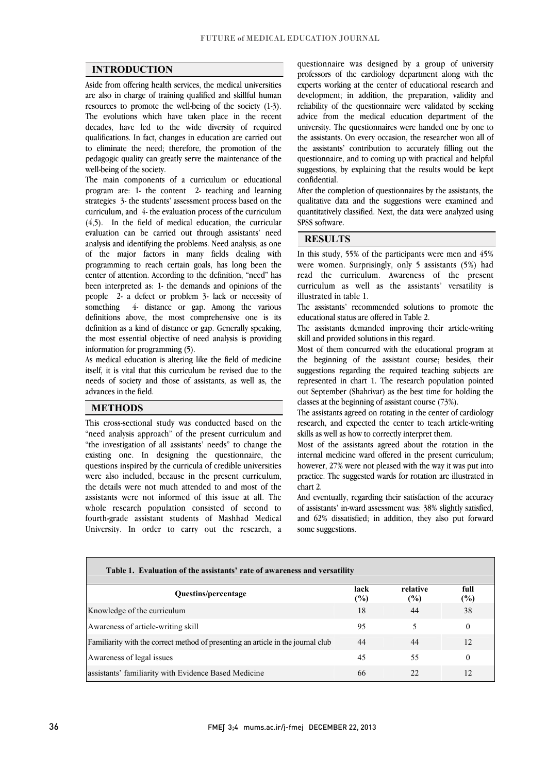$\overline{a}$  $\overline{a}$ 

### **INTRODUCTION**

 Aside from offering health services, the medical universities are also in charge of training qualified and skillful human The evolutions which have taken place in the recent decades, have led to the wide diversity of required qualifications. In fact, changes in education are carried out to eliminate the need; therefore, the promotion of the pedagogic quality can greatly serve the maintenance of the well-being of the society resources to promote the well-being of the society (1-3). well-being of the society.

 The main components of a curriculum or educational program are: 1- the content 2- teaching and learning strategies 3- the students' assessment process based on the  $(4,5)$ . In the field of medical education, the curricular evaluation can be carried out through assistants' need analysis and identifying the problems. Need analysis, as one of the major factors in many fields dealing with center of attention. According to the definition, "need" has been interpreted as: 1- the demands and opinions of the people 2- a defect or problem 3- lack or necessity of definitions above, the most comprehensive one is its definition as a kind of distance or gap. Generally speaking, the most essential objective of need analysis is providing curriculum, and 4- the evaluation process of the curriculum programming to reach certain goals, has long been the something 4- distance or gap. Among the various information for programming (5).

itself, it is vital that this curriculum be revised due to the needs of society and those of assistants, as well as, the As medical education is altering like the field of medicine advances in the field.

### **METHODS**

 This cross-sectional study was conducted based on the "need analysis approach" of the present curriculum and "the investigation of all assistants' needs" to change the existing one. In designing the questionnaire, the were also included, because in the present curriculum, the details were not much attended to and most of the assistants were not informed of this issue at all. The whole research population consisted of second to<br>fourth-grade assistant students of Mashhad Medical University. In order to carry out the research, a questions inspired by the curricula of credible universities whole research population consisted of second to

 professors of the cardiology department along with the experts working at the center of educational research and development; in addition, the preparation, validity and advice from the medical education department of the university. The questionnaires were handed one by one to the assistants. On every occasion, the researcher won all of the assistants' contribution to accurately filling out the suggestions, by explaining that the results would be kept questionnaire was designed by a group of university reliability of the questionnaire were validated by seeking questionnaire, and to coming up with practical and helpful confidential.

 After the completion of questionnaires by the assistants, the quantative data and the suggestions were examined and<br>quantitatively classified. Next, the data were analyzed using Ĩ qualitative data and the suggestions were examined and SPSS software.

j

 $\overline{a}$ 

## **RESULTS**

j m ans stady, 35% of the participants were men and 45% were women. Surprisingly, only 5 assistants (5%) had read the curriculum. Awareness of the present curriculum as well as the assistants' versatility is In this study, 55% of the participants were men and 45% illustrated in table 1.

The assistants' recommended solutions to promote the<br>educational status are offered in Table 2 educational status are offered in Table 2.

 The assistants demanded improving their article-writing skill and provided solutions in this regard.

 Most of them concurred with the educational program at suggestions regarding the required teaching subjects are represented in chart 1. The research population pointed out September (Shahrivar) as the best time for holding the the beginning of the assistant course; besides, their classes at the beginning of assistant course (73%).

classes at the beginning of assistant course  $(75)$ .<br>The assistants agreed on rotating in the center of cardiology research, and expected the center to teach article-writing skills as well as how to correctly interpret them.

 Most of the assistants agreed about the rotation in the however, 27% were not pleased with the way it was put into practice. The suggested wards for rotation are illustrated in internal medicine ward offered in the present curriculum; chart 2.

 And eventually, regarding their satisfaction of the accuracy and 62% dissatisfied; in addition, they also put forward of assistants' in-ward assessment was: 38% slightly satisfied, some suggestions.

| Table 1. Evaluation of the assistants' rate of awareness and versatility         |             |                 |                |  |
|----------------------------------------------------------------------------------|-------------|-----------------|----------------|--|
| Questins/percentage                                                              | lack<br>(%) | relative<br>(%) | full<br>$(\%)$ |  |
| Knowledge of the curriculum                                                      | 18          | 44              | 38             |  |
| Awareness of article-writing skill                                               | 95          | 5               | $\Omega$       |  |
| Familiarity with the correct method of presenting an article in the journal club | 44          | 44              | 12             |  |
| Awareness of legal issues                                                        | 45          | 55              | $\Omega$       |  |
| assistants' familiarity with Evidence Based Medicine                             | 66          | 22              | 12             |  |

 $\overline{a}$ 

Ι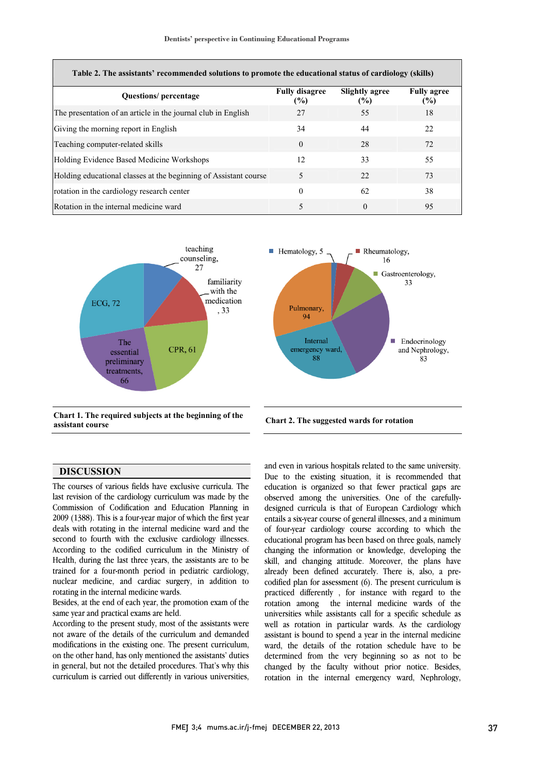| Table 2. The assistants' recommended solutions to promote the educational status of cardiology (skills) |                              |                                        |                           |  |  |
|---------------------------------------------------------------------------------------------------------|------------------------------|----------------------------------------|---------------------------|--|--|
| <b>Questions</b> / percentage                                                                           | <b>Fully disagree</b><br>(%) | <b>Slightly agree</b><br>$\frac{9}{6}$ | <b>Fully agree</b><br>(%) |  |  |
| The presentation of an article in the journal club in English                                           | 27                           | 55                                     | 18                        |  |  |
| Giving the morning report in English                                                                    | 34                           | 44                                     | 22.                       |  |  |
| Teaching computer-related skills                                                                        | $\theta$                     | 28                                     | 72                        |  |  |
| Holding Evidence Based Medicine Workshops                                                               | 12                           | 33                                     | 55                        |  |  |
| Holding educational classes at the beginning of Assistant course                                        | 5                            | 22                                     | 73                        |  |  |
| rotation in the cardiology research center                                                              | $\theta$                     | 62                                     | 38                        |  |  |
| Rotation in the internal medicine ward                                                                  | 5                            | $\theta$                               | 95                        |  |  |



 **Chart 1. The required subjects at the beginning of the assistant course Chart 2. The suggested wards for rotation**



### **DISCUSSION**

 The courses of various fields have exclusive curricula. The last revision of the cardiology curriculum was made by the 2009 (1388). This is a four-year major of which the first year deals with rotating in the internal medicine ward and the second to fourth with the exclusive cardiology illnesses. According to the codified curriculum in the Ministry of trained for a four-month period in pediatric cardiology, nuclear medicine, and cardiac surgery, in addition to Commission of Codification and Education Planning in Health, during the last three years, the assistants are to be rotating in the internal medicine wards.

 Besides, at the end of each year, the promotion exam of the same year and practical exams are held.

 According to the present study, most of the assistants were not aware of the details of the curriculum and demanded modifications in the existing one. The present curriculum, on the other hand, has only mentioned the assistants' duties curriculum is carried out differently in various universities, in general, but not the detailed procedures. That's why this

 and even in various hospitals related to the same university. Due to the existing situation, it is recommended that education is organized so that fewer practical gaps are observed among the universities. One of the carefully- entails a six-year course of general illnesses, and a minimum of four-year cardiology course according to which the educational program has been based on three goals, namely changing the information or knowledge, developing the already been defined accurately. There is, also, a pre- codified plan for assessment (6). The present curriculum is practiced differently , for instance with regard to the rotation among the internal medicine wards of the well as rotation in particular wards. As the cardiology assistant is bound to spend a year in the internal medicine ward, the details of the rotation schedule have to be determined from the very beginning so as not to be enlarged by the internal emergency ward, Nephrology, designed curricula is that of European Cardiology which skill, and changing attitude. Moreover, the plans have universities while assistants call for a specific schedule as changed by the faculty without prior notice. Besides,

Ι

 $\overline{a}$ 

 $\ddot{\phantom{a}}$